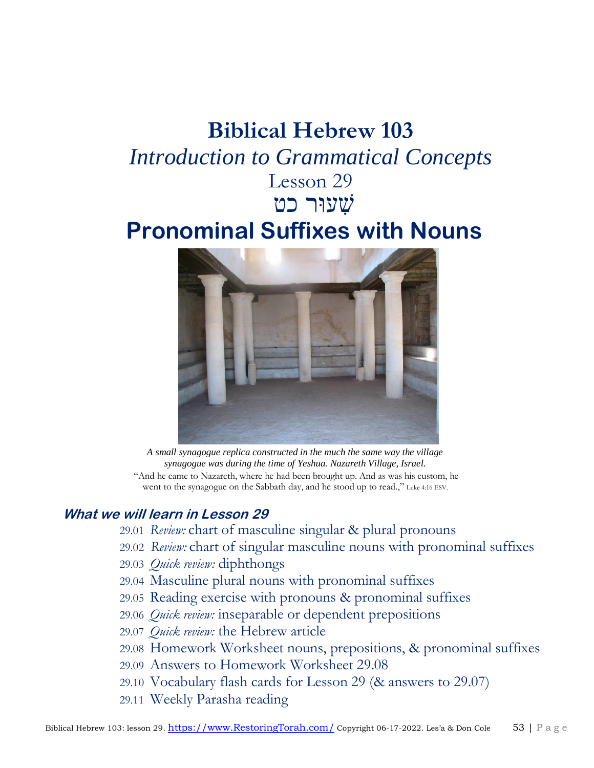## **Biblical Hebrew 103** *Introduction to Grammatical Concepts* Lesson 29

# שׁ ִעוּר כט

## **Pronominal Suffixes with Nouns**



*A small synagogue replica constructed in the much the same way the village synagogue was during the time of Yeshua. Nazareth Village, Israel.* "And he came to Nazareth, where he had been brought up. And as was his custom, he went to the synagogue on the Sabbath day, and he stood up to read.," Luke 4:16 ESV.

#### **What we will learn in Lesson 29**

- 29.01 *Review:* chart of masculine singular & plural pronouns
- 29.02 *Review:* chart of singular masculine nouns with pronominal suffixes
- 29.03 *Quick review:* diphthongs
- 29.04 Masculine plural nouns with pronominal suffixes
- 29.05 Reading exercise with pronouns & pronominal suffixes
- 29.06 *Quick review:* inseparable or dependent prepositions
- 29.07 *Quick review:* the Hebrew article
- 29.08 Homework Worksheet nouns, prepositions, & pronominal suffixes
- 29.09 Answers to Homework Worksheet 29.08
- 29.10 Vocabulary flash cards for Lesson 29 (& answers to 29.07)
- 29.11 Weekly Parasha reading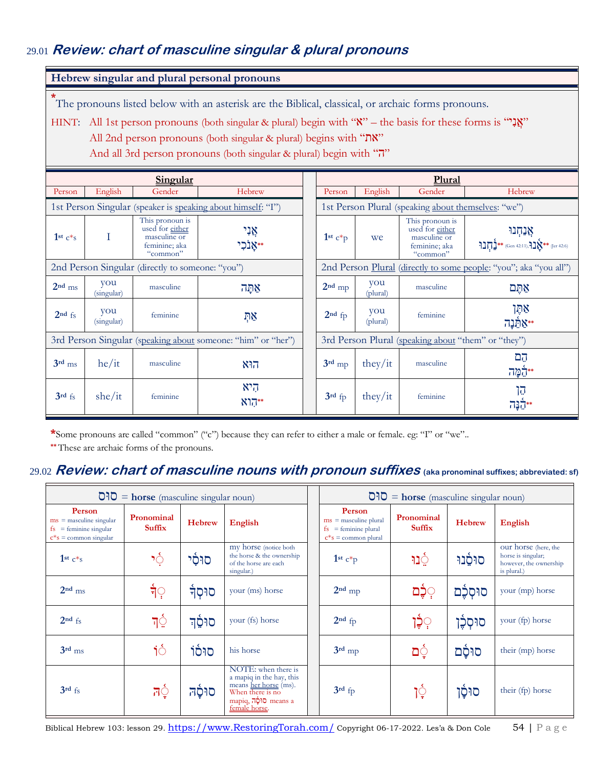## 29.01 **Review: chart of masculine singular & plural pronouns**

|                                                                                                                                                                                                                                                                                                                                                                                      | Hebrew singular and plural personal pronouns |                                                                                 |                                                              |  |           |                 |                                                                                 |                                                                   |
|--------------------------------------------------------------------------------------------------------------------------------------------------------------------------------------------------------------------------------------------------------------------------------------------------------------------------------------------------------------------------------------|----------------------------------------------|---------------------------------------------------------------------------------|--------------------------------------------------------------|--|-----------|-----------------|---------------------------------------------------------------------------------|-------------------------------------------------------------------|
| ÷<br>The pronouns listed below with an asterisk are the Biblical, classical, or archaic forms pronouns.<br>HINT: All 1st person pronouns (both singular & plural) begin with " $\aleph$ " – the basis for these forms is "אֲנָ"<br>All 2nd person pronouns (both singular & plural) begins with "N"<br>And all 3rd person pronouns (both singular & plural) begin with " $\vec{v}$ " |                                              |                                                                                 |                                                              |  |           |                 |                                                                                 |                                                                   |
|                                                                                                                                                                                                                                                                                                                                                                                      |                                              | Singular                                                                        |                                                              |  |           |                 | Plural                                                                          |                                                                   |
| Person                                                                                                                                                                                                                                                                                                                                                                               | English                                      | Gender                                                                          | Hebrew                                                       |  | Person    | English         | Gender                                                                          | Hebrew                                                            |
|                                                                                                                                                                                                                                                                                                                                                                                      |                                              |                                                                                 | 1st Person Singular (speaker is speaking about himself: "I") |  |           |                 | 1st Person Plural (speaking about themselves: "we")                             |                                                                   |
| $1st c*s$                                                                                                                                                                                                                                                                                                                                                                            | Τ                                            | This pronoun is<br>used for either<br>masculine or<br>feminine; aka<br>"common" |                                                              |  | $1st c*p$ | we              | This pronoun is<br>used for either<br>masculine or<br>feminine; aka<br>"common" | אֲנַחְנוּ<br>אֲלֲחֲנוּ (Gen 4211), אוּצַׂ                         |
| 2nd Person Singular (directly to someone: "you")                                                                                                                                                                                                                                                                                                                                     |                                              |                                                                                 |                                                              |  |           |                 |                                                                                 | 2nd Person Plural (directly to some people: "you"; aka "you all") |
| $2nd$ ms                                                                                                                                                                                                                                                                                                                                                                             | you<br>(singular)                            | masculine                                                                       | אַתָּה                                                       |  | $2nd$ mp  | you<br>(plural) | masculine                                                                       | אתֵם                                                              |
| $2nd$ fs                                                                                                                                                                                                                                                                                                                                                                             | you<br>(singular)                            | feminine                                                                        | <u> ካ</u> ያ                                                  |  | $2nd$ fp  | you<br>(plural) | feminine                                                                        | אַתָּך<br>הַנָה"                                                  |
| 3rd Person Singular (speaking about someone: "him" or "her")                                                                                                                                                                                                                                                                                                                         |                                              |                                                                                 |                                                              |  |           |                 | 3rd Person Plural (speaking about "them" or "they")                             |                                                                   |
| $3rd$ ms                                                                                                                                                                                                                                                                                                                                                                             | he/it                                        | masculine                                                                       | הוא                                                          |  | $3rd$ mp  | they/it         | masculine                                                                       | הֵם<br><u>הֹמָה </u>                                              |
| $3rd$ fs                                                                                                                                                                                                                                                                                                                                                                             | she/it                                       | feminine                                                                        | היא<br>אהוא                                                  |  | $3rd$ fp  | they/it         | feminine                                                                        | הן<br>הנה                                                         |

**\***Some pronouns are called "common" ("c") because they can refer to either a male or female. eg: "I" or "we"..

**\*\*** These are archaic forms of the pronouns.

### 29.02 **Review: chart of masculine nouns with pronoun suffixes (aka pronominal suffixes; abbreviated: sf)**

| $\overline{O}$ <sup>1</sup> $\overline{O}$ = <b>horse</b> (masculine singular noun)                                   |                             |                 |                                                                                                                                        | $\overline{O}$ <sup>1</sup> $\overline{O}$ = horse (masculine singular noun)                      |                             |               |                                                                                     |
|-----------------------------------------------------------------------------------------------------------------------|-----------------------------|-----------------|----------------------------------------------------------------------------------------------------------------------------------------|---------------------------------------------------------------------------------------------------|-----------------------------|---------------|-------------------------------------------------------------------------------------|
| Person<br>$ms =$ masculine singular<br>$=$ feminine singular<br>$\mathbf{fs}$<br>$c$ <sup>*</sup> s = common singular | Pronominal<br><b>Suffix</b> | <b>Hebrew</b>   | English                                                                                                                                | Person<br>$ms =$ masculine plural<br>$fs = feminine plural$<br>$c$ <sup>*</sup> s = common plural | Pronominal<br><b>Suffix</b> | <b>Hebrew</b> | <b>English</b>                                                                      |
| $1st c*s$                                                                                                             | १े                          | סוּסִי          | my horse (notice both)<br>the horse & the ownership<br>of the horse are each<br>singular.)                                             | $1st c*p$                                                                                         | া⊇                          | סוּסָנוּ      | our horse (here, the<br>horse is singular;<br>however, the ownership<br>is plural.) |
| $2nd$ ms                                                                                                              | र्न <b>़</b>                | <b>סוּסְדְּ</b> | your (ms) horse                                                                                                                        | $2nd$ mp                                                                                          | ְכֻּֽם                      | סוּסְכָ֫ם     | your (mp) horse                                                                     |
| $2nd$ fs                                                                                                              | ग्े                         | סוּסֵ֫ד         | your (fs) horse                                                                                                                        | $2nd$ fp                                                                                          | ۭۘۮ <del>ۭ</del> ڎۭ         | סוּסְכֶּן     | your (fp) horse                                                                     |
| $3rd$ ms                                                                                                              | १े                          | סוּסֿוֹ         | his horse                                                                                                                              | $3rd$ mp                                                                                          | ूव                          | סוּסֹם        | their (mp) horse                                                                    |
| $3rd$ fs                                                                                                              | ੋਨ                          | סוּסַה          | NOTE: when there is<br>a mapiq in the hay, this<br>means her horse (ms).<br>When there is no<br>mapiq, סוּסָה means a<br>female horse. | $3rd$ fp                                                                                          | ैं                          | סוּסָן        | their (fp) horse                                                                    |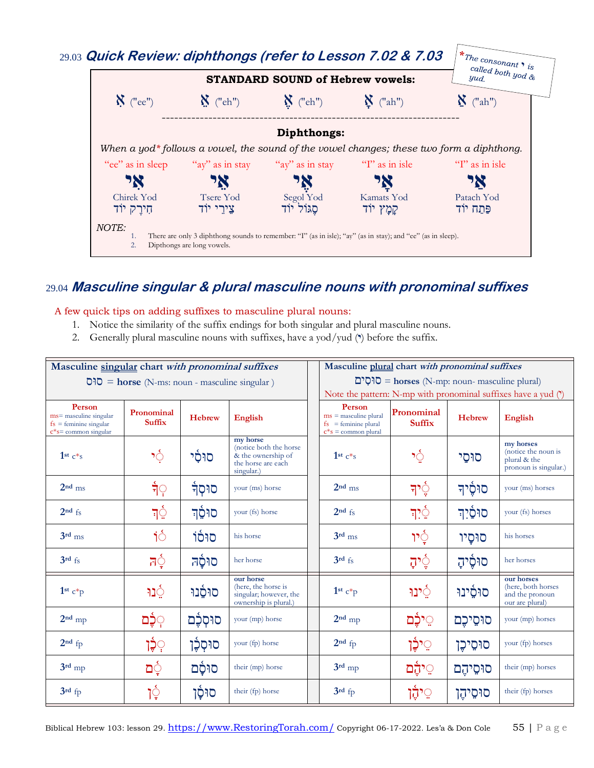

### 29.04 **Masculine singular & plural masculine nouns with pronominal suffixes**

#### A few quick tips on adding suffixes to masculine plural nouns:

- 1. Notice the similarity of the suffix endings for both singular and plural masculine nouns.
- 2. Generally plural masculine nouns with suffixes, have a yod/yud  $(\cdot)$  before the suffix.

| Masculine singular chart with pronominal suffixes                                           |                             |               |                                                                                              |  | Masculine plural chart with pronominal suffixes                                      |                             |               |                                                                           |
|---------------------------------------------------------------------------------------------|-----------------------------|---------------|----------------------------------------------------------------------------------------------|--|--------------------------------------------------------------------------------------|-----------------------------|---------------|---------------------------------------------------------------------------|
| $\overline{O}$ <sup>1</sup> $\overline{O}$ = <b>horse</b> (N-ms: noun - masculine singular) |                             |               |                                                                                              |  | סוּסִים = horses (N-mp: noun- masculine plural)                                      |                             |               |                                                                           |
|                                                                                             |                             |               |                                                                                              |  | Note the pattern: N-mp with pronominal suffixes have a yud (*)                       |                             |               |                                                                           |
| Person<br>ms= masculine singular<br>$fs =$ feminine singular<br>$c$ *s= common singular     | Pronominal<br><b>Suffix</b> | <b>Hebrew</b> | <b>English</b>                                                                               |  | Person<br>$ms =$ masculine plural<br>$fs = feminine plural$<br>$c*s = common plural$ | Pronominal<br><b>Suffix</b> | <b>Hebrew</b> | <b>English</b>                                                            |
| 1st $c*s$                                                                                   | १ूँ                         | הַרָּ         | my horse<br>(notice both the horse<br>& the ownership of<br>the horse are each<br>singular.) |  | 1st $c*s$                                                                            | १ुँ                         | סוּסַי        | my horses<br>(notice the noun is<br>plural & the<br>pronoun is singular.) |
| $2nd$ ms                                                                                    | र्न <b>़</b>                | סוּסְדָּ      | your (ms) horse                                                                              |  | $2nd$ ms                                                                             | न'े़                        | סוּסֶיך       | your (ms) horses                                                          |
| $2nd$ fs                                                                                    | न $\hat{\mathbb{Q}}$        | סוּסֶד        | your (fs) horse                                                                              |  | $2nd$ fs                                                                             | া:े                         | סוּסַֿיִך     | your (fs) horses                                                          |
| $3rd$ ms                                                                                    | १े                          | סוּסֿוֹ       | his horse                                                                                    |  | $3rd$ ms                                                                             | ়া`ু                        | סוּסַיו       | his horses                                                                |
| $3rd$ fs                                                                                    | त्रे                        | סוּסַָה       | her horse                                                                                    |  | $3rd$ fs                                                                             | ੍ਰਾ੍                        | סוּסֵיהַ      | her horses                                                                |
| $1st c*p$                                                                                   | ำฺ⊇                         | סוּסָנוּ      | our horse<br>(here, the horse is<br>singular; however, the<br>ownership is plural.)          |  | $1st c*p$                                                                            | ובן "                       | סוּסֵינוּ     | our horses<br>(here, both horses<br>and the pronoun<br>our are plural)    |
| $2nd$ mp                                                                                    | ٰٰٰٰٰٰ                      | סוּסְכֶּם     | your (mp) horse                                                                              |  | $2nd$ mp                                                                             | ּיַכָּׁם                    | סוּסֵיכֵם     | your (mp) horses                                                          |
| $2nd$ fp                                                                                    | ؚۭۘۮ <del>ۭ</del> ڗ         | סוּסְכֶּן     | your (fp) horse                                                                              |  | $2nd$ fp                                                                             | ؘٞ؞ڋڶ                       | סוּסֵיכֵן     | your (fp) horses                                                          |
| $3rd$ mp                                                                                    | ٍٍٍٍٍٍٍٍٍٍٍ                 | סוּסַ֫ם       | their (mp) horse                                                                             |  | $3rd$ mp                                                                             | ੁ^ٰ ਼ੂ                      | סוּסֵיהֵם     | their (mp) horses                                                         |
| $3rd$ fp                                                                                    | ॄे                          | סוּסָ֫ן       | their (fp) horse                                                                             |  | $3rd$ fp                                                                             | ַיהֶן                       | סוּסֵיהֵן     | their (fp) horses                                                         |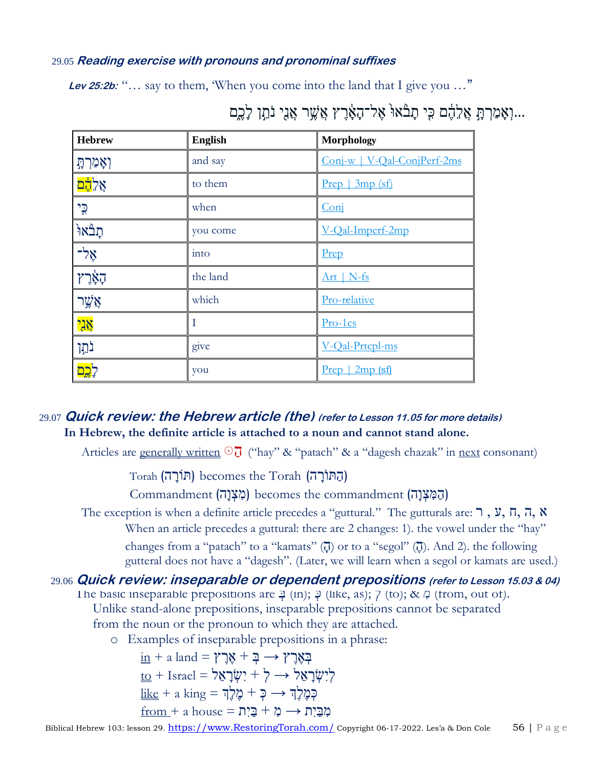#### 29.05 **Reading exercise with pronouns and pronominal suffixes**

**Lev 25:2b:** "... say to them, 'When you come into the land that I give you ..."

| <b>Hebrew</b>         | <b>English</b>   | <b>Morphology</b>           |
|-----------------------|------------------|-----------------------------|
| וְאָמַרְהָ            | and say          | Conj-w   V-Qal-ConjPerf-2ms |
| אֲלֵ <mark>הָם</mark> | to them          | Prep   3mp (sf)             |
| ְכֵי                  | when             | Conj                        |
| תַבּצוּ               | you come         | V-Qal-Imperf-2mp            |
| ל־ $\frac{1}{2}$      | int <sub>o</sub> | Prep                        |
| הָאָרֶץ               | the land         | $Art   N-fs$                |
| אֲשֱר                 | which            | Pro-relative                |
| <mark>אַנ</mark> ִי   | Τ                | $Pro-1cs$                   |
| נֹתֵן                 | give             | V-Qal-Prtcpl-ms             |
| <u>לְכֵם</u>          | you              | Prep   2mp (sf)             |

## ...וְאֲמַרְתָּ אֱלֶהֶם כִּי תַבֹּאוּ אֱל־הַאֶּרֶץ אֲשֶׁר אֲנֵי נֹתֵן לָכֵם

#### 29.07 **Quick review: the Hebrew article (the) (refer to Lesson 11.05 for more details) In Hebrew, the definite article is attached to a noun and cannot stand alone.**

Articles are generally written  $\overline{G}$  ("hay" & "patach" & a "dagesh chazak" in next consonant)

(הַ תו רָ ה) Torah the becomes) תוֹרָ ה) Torah

(הַמְּצְוָה) becomes the commandment (מִצְנָה)

The exception is when a definite article precedes a "guttural." The gutturals are:  $\Box$ ,  $\Box$ ,  $\Pi$ ,  $\Pi$ ,  $\Pi$ ,  $\Pi$ ,  $\Pi$ ,  $\Pi$ ,  $\Pi$ ,  $\Pi$ ,  $\Pi$ ,  $\Pi$ ,  $\Pi$ ,  $\Pi$ ,  $\Pi$ ,  $\Pi$ ,  $\Pi$ ,  $\Pi$ ,  $\Pi$ ,  $\Pi$ ,  $\Pi$ ,  $\Pi$ ,  $\Pi$ , When an article precedes a guttural: there are 2 changes: 1). the vowel under the "hay" changes from a "patach" to a "kamats"  $\overline{(\cdot)}$  or to a "segol"  $\overline{(\cdot)}$ . And 2). the following gutteral does not have a "dagesh". (Later, we will learn when a segol or kamats are used.)

#### 29.06 **Quick review: inseparable or dependent prepositions (refer to Lesson 15.03 & 04)**

I he basic inseparable prepositions are  $\frac{1}{2}$  (in);  $\frac{3}{2}$  (like, as);  $\frac{7}{2}$  (to); &  $\frac{7}{2}$  (from, out of).

Unlike stand-alone prepositions, inseparable prepositions cannot be separated

from the noun or the pronoun to which they are attached.

o Examples of inseparable prepositions in a phrase:

 $\underline{\mathbf{z}}$ בְּאֵרֵץ  $\overline{\mathbf{z}} \to \mathbf{z}$ רֵךְ  $\overline{\mathbf{z}} \to \mathbf{z}$ בְּ

$$
\underline{\text{to}} + \text{Israel} = \forall \psi \gamma + \gamma \Rightarrow \forall \psi \gamma
$$

$$
\underline{\text{like}} + \text{a king} = \text{Hg} + \text{g} + \text{g} \rightarrow \text{Hg}
$$

 ${\rm from\,} +$  a house = מֲרָת  $\rightarrow$   $\rightarrow$   $\rightarrow$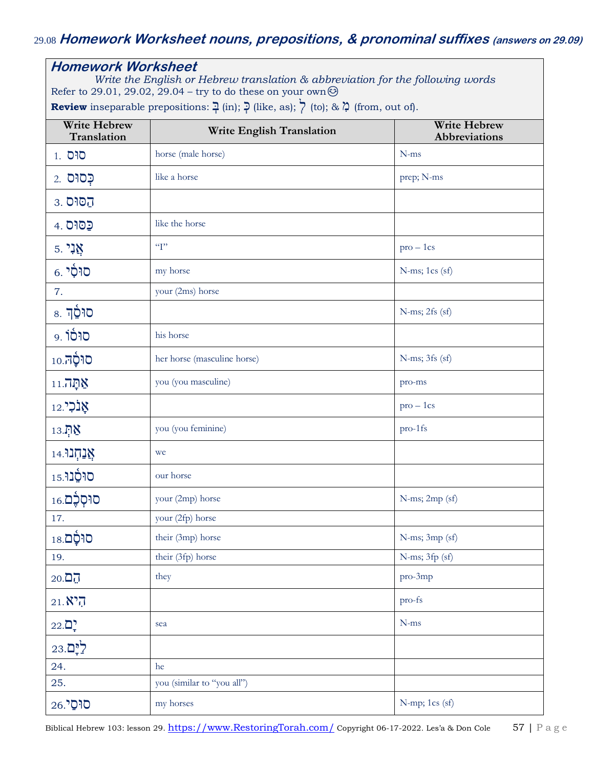| <b>Homework Worksheet</b>                                                                                                                                                                                | Write the English or Hebrew translation & abbreviation for the following words |                                      |  |  |  |
|----------------------------------------------------------------------------------------------------------------------------------------------------------------------------------------------------------|--------------------------------------------------------------------------------|--------------------------------------|--|--|--|
| Refer to 29.01, 29.02, 29.04 – try to do these on your own $\odot$<br>Review inseparable prepositions: $\frac{1}{7}$ (in); $\frac{1}{7}$ (like, as); $\frac{1}{7}$ (to); & $\frac{1}{7}$ (from, out of). |                                                                                |                                      |  |  |  |
| <b>Write Hebrew</b><br>Translation                                                                                                                                                                       | <b>Write English Translation</b>                                               | <b>Write Hebrew</b><br>Abbreviations |  |  |  |
| 1. סוּס                                                                                                                                                                                                  | horse (male horse)                                                             | $N$ -ms                              |  |  |  |
| פ <b>ְסוּס</b> 2.                                                                                                                                                                                        | like a horse                                                                   | prep; N-ms                           |  |  |  |
| 3. סו <sup>ּם</sup>                                                                                                                                                                                      |                                                                                |                                      |  |  |  |
| 4. סוּס                                                                                                                                                                                                  | like the horse                                                                 |                                      |  |  |  |
| $5.$ אֲנָי                                                                                                                                                                                               | T                                                                              | $pro-1cs$                            |  |  |  |
| $6.$ סוּסָי                                                                                                                                                                                              | my horse                                                                       | $N$ -ms; 1cs (sf)                    |  |  |  |
| 7.                                                                                                                                                                                                       | your (2ms) horse                                                               |                                      |  |  |  |
| 8. סוּמֶךָ                                                                                                                                                                                               |                                                                                | $N$ -ms; 2fs (sf)                    |  |  |  |
| 9. JOIO                                                                                                                                                                                                  | his horse                                                                      |                                      |  |  |  |
| סוּסָה.10                                                                                                                                                                                                | her horse (masculine horse)                                                    | $N$ -ms; 3fs (sf)                    |  |  |  |
| $11.7P$ אַ                                                                                                                                                                                               | you (you masculine)                                                            | pro-ms                               |  |  |  |
| אָנכִי <sub>.12</sub>                                                                                                                                                                                    |                                                                                | $pro - 1cs$                          |  |  |  |
| 13. <mark>ମ&amp;</mark>                                                                                                                                                                                  | you (you feminine)                                                             | $pro-1fs$                            |  |  |  |
| אֲ <b>נַהְנוּ</b> .14                                                                                                                                                                                    | we                                                                             |                                      |  |  |  |
| סוּסָנוּ.15                                                                                                                                                                                              | our horse                                                                      |                                      |  |  |  |
| סוּסְכֶ <u>ם.16</u>                                                                                                                                                                                      | your (2mp) horse                                                               | $N$ -ms; $2mp(sf)$                   |  |  |  |
| 17.                                                                                                                                                                                                      | your (2fp) horse                                                               |                                      |  |  |  |
| סוּסָם.18                                                                                                                                                                                                | their (3mp) horse                                                              | N-ms; 3mp (sf)                       |  |  |  |
| 19.                                                                                                                                                                                                      | their (3fp) horse                                                              | N-ms; 3fp (sf)                       |  |  |  |
| $20.\overline{a}$                                                                                                                                                                                        | they                                                                           | pro-3mp                              |  |  |  |
| $21.$ $N$ ה                                                                                                                                                                                              |                                                                                | pro-fs                               |  |  |  |
| $22.\overline{\mathsf{D}}$ יָ                                                                                                                                                                            | sea                                                                            | $N$ -ms                              |  |  |  |
| 23. <b>ב</b> ְלַ                                                                                                                                                                                         |                                                                                |                                      |  |  |  |
| 24.                                                                                                                                                                                                      | he                                                                             |                                      |  |  |  |
| 25.                                                                                                                                                                                                      | you (similar to "you all")                                                     |                                      |  |  |  |
| $26.$ סוּסי                                                                                                                                                                                              | my horses                                                                      | N-mp; 1cs (sf)                       |  |  |  |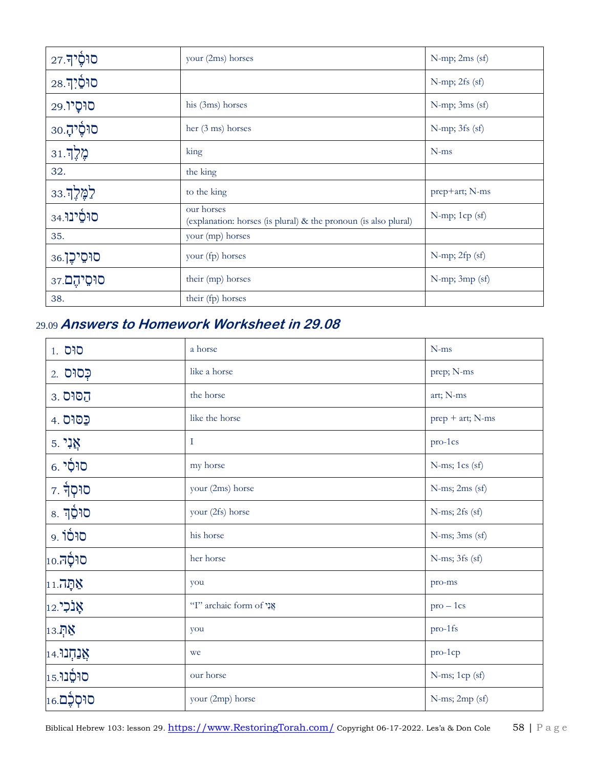| $27.7$ סוּפֶר         | your (2ms) horses                                                             | $N$ -mp; $2ms$ (sf) |
|-----------------------|-------------------------------------------------------------------------------|---------------------|
| 28.קֿ?                |                                                                               | $N$ -mp; $2fs$ (sf) |
| 29. <b>סוּסָיו</b>    | his (3ms) horses                                                              | $N$ -mp; $3ms$ (sf) |
| <b>ַסוּפֶריהָ</b>     | her $(3 \text{ ms})$ horses                                                   | $N$ -mp; $3fs$ (sf) |
| מֶלֶךְ. <sub>31</sub> | king                                                                          | $N$ -ms             |
| 32.                   | the king                                                                      |                     |
| לִמֶּלֶךְ.33          | to the king                                                                   | prep+art; N-ms      |
| 34. <b>13°E</b>       | our horses<br>(explanation: horses (is plural) & the pronoun (is also plural) | N-mp; 1cp (sf)      |
| 35.                   | your (mp) horses                                                              |                     |
| סוּסֵיכֶן.36          | your (fp) horses                                                              | $N$ -mp; $2fp$ (sf) |
| סוּסֵיהֵם.37          | their (mp) horses                                                             | N-mp; 3mp (sf)      |
| 38.                   | their (fp) horses                                                             |                     |

## 29.09 Answers to Homework Worksheet in 29.08

| 1. סוּס                  | a horse                   | $N-ms$              |
|--------------------------|---------------------------|---------------------|
| כְםוּם 2.                | like a horse              | prep; N-ms          |
| <b>3. סוּס</b>           | the horse                 | art; N-ms           |
| 4. סוּס                  | like the horse            | $prep + art; N-ms$  |
| $5.$ אֲנָי               | $\bf{I}$                  | pro-1cs             |
| $6.$ סוּסָי              | my horse                  | N-ms; 1cs (sf)      |
| $7. \frac{2}{7}$ סוּסְךָ | your (2ms) horse          | $N$ -ms; $2ms$ (sf) |
| סוּםֶ <del>ן.</del> 8.   | your (2fs) horse          | $N$ -ms; 2fs (sf)   |
| 9. JOIO                  | his horse                 | N-ms; 3ms (sf)      |
| $_{10.70}$ סוּסָה        | her horse                 | N-ms; 3fs (sf)      |
| 11.798                   | you                       | pro-ms              |
| אָנֹכִי <sub>.12</sub>   | "I" archaic form of אֲנָי | $pro - 1cs$         |
| 13.PS                    | you                       | pro-1fs             |
| אֲנַחְנוּ <sub>.14</sub> | we                        | pro-1cp             |
| סוּסָנוּ.15              | our horse                 | N-ms; 1cp (sf)      |
| סוּסְכֶּם.16             | your (2mp) horse          | $N$ -ms; $2mp(sf)$  |